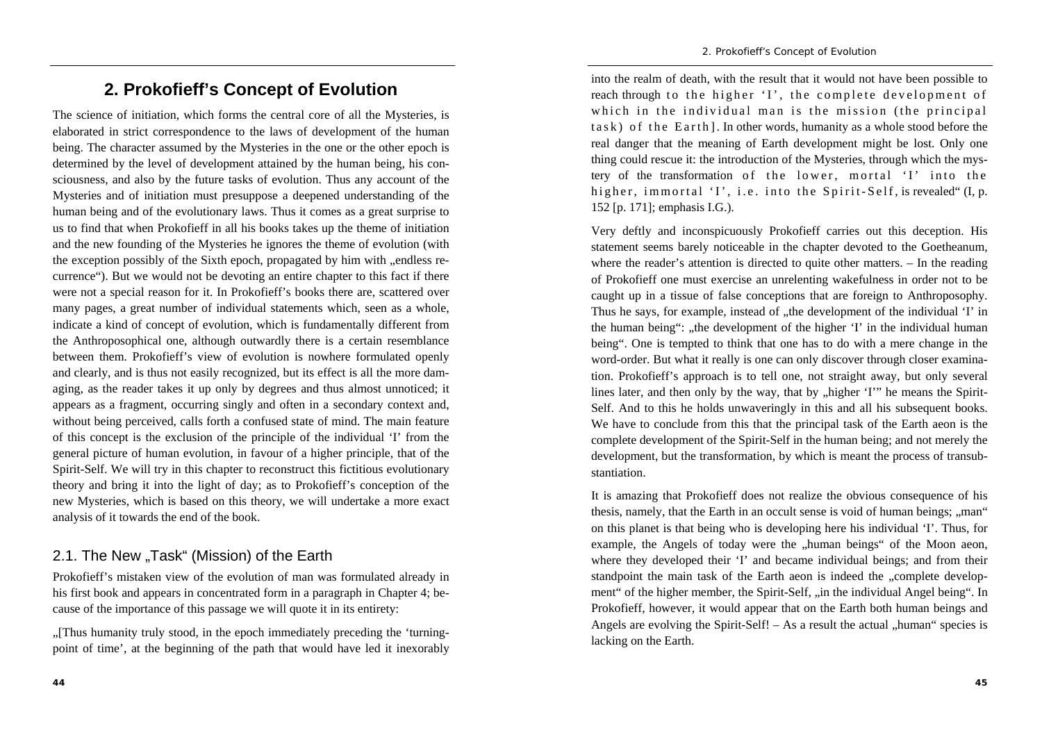## **2. Prokofieff's Concept of Evolution**

The science of initiation, which forms the central core of all the Mysteries, is elaborated in strict correspondence to the laws of development of the human being. The character assumed by the Mysteries in the one or the other epoch is determined by the level of development attained by the human being, his consciousness, and also by the future tasks of evolution. Thus any account of the Mysteries and of initiation must presuppose a deepened understanding of the human being and of the evolutionary laws. Thus it comes as a great surprise to us to find that when Prokofieff in all his books takes up the theme of initiation and the new founding of the Mysteries he ignores the theme of evolution (with the exception possibly of the Sixth epoch, propagated by him with "endless recurrence"). But we would not be devoting an entire chapter to this fact if there were not a special reason for it. In Prokofieff's books there are, scattered over many pages, a great number of individual statements which, seen as a whole, indicate a kind of concept of evolution, which is fundamentally different from the Anthroposophical one, although outwardly there is a certain resemblance between them. Prokofieff's view of evolution is nowhere formulated openly and clearly, and is thus not easily recognized, but its effect is all the more damaging, as the reader takes it up only by degrees and thus almost unnoticed; it appears as a fragment, occurring singly and often in a secondary context and, without being perceived, calls forth a confused state of mind. The main feature of this concept is the exclusion of the principle of the individual 'I' from the general picture of human evolution, in favour of a higher principle, that of the Spirit-Self. We will try in this chapter to reconstruct this fictitious evolutionary theory and bring it into the light of day; as to Prokofieff's conception of the new Mysteries, which is based on this theory, we will undertake a more exact analysis of it towards the end of the book.

## 2.1. The New "Task" (Mission) of the Earth

Prokofieff's mistaken view of the evolution of man was formulated already in his first book and appears in concentrated form in a paragraph in Chapter 4; because of the importance of this passage we will quote it in its entirety:

"[Thus humanity truly stood, in the epoch immediately preceding the 'turningpoint of time', at the beginning of the path that would have led it inexorably

into the realm of death, with the result that it would not have been possible to reach through to the higher 'I', the complete development of which in the individual man is the mission (the principal  $task)$  of the Earth]. In other words, humanity as a whole stood before the real danger that the meaning of Earth development might be lost. Only one thing could rescue it: the introduction of the Mysteries, through which the mystery of the transformation of the lower, mortal 'I' into the higher, immortal 'I', i.e. into the Spirit-Self, is revealed "(I, p. 152 [p. 171]; emphasis I.G.).

Very deftly and inconspicuously Prokofieff carries out this deception. His statement seems barely noticeable in the chapter devoted to the Goetheanum, where the reader's attention is directed to quite other matters. – In the reading of Prokofieff one must exercise an unrelenting wakefulness in order not to be caught up in a tissue of false conceptions that are foreign to Anthroposophy. Thus he says, for example, instead of , the development of the individual 'I' in the human being": "the development of the higher 'I' in the individual human being". One is tempted to think that one has to do with a mere change in the word-order. But what it really is one can only discover through closer examination. Prokofieff's approach is to tell one, not straight away, but only several lines later, and then only by the way, that by "higher 'I'" he means the Spirit-Self. And to this he holds unwaveringly in this and all his subsequent books. We have to conclude from this that the principal task of the Earth aeon is the complete development of the Spirit-Self in the human being; and not merely the development, but the transformation, by which is meant the process of transubstantiation.

It is amazing that Prokofieff does not realize the obvious consequence of his thesis, namely, that the Earth in an occult sense is void of human beings; "man" on this planet is that being who is developing here his individual 'I'. Thus, for example, the Angels of today were the "human beings" of the Moon aeon, where they developed their 'I' and became individual beings; and from their standpoint the main task of the Earth aeon is indeed the "complete development" of the higher member, the Spirit-Self, "in the individual Angel being". In Prokofieff, however, it would appear that on the Earth both human beings and Angels are evolving the Spirit-Self!  $-$  As a result the actual  $\mu$ human" species is lacking on the Earth.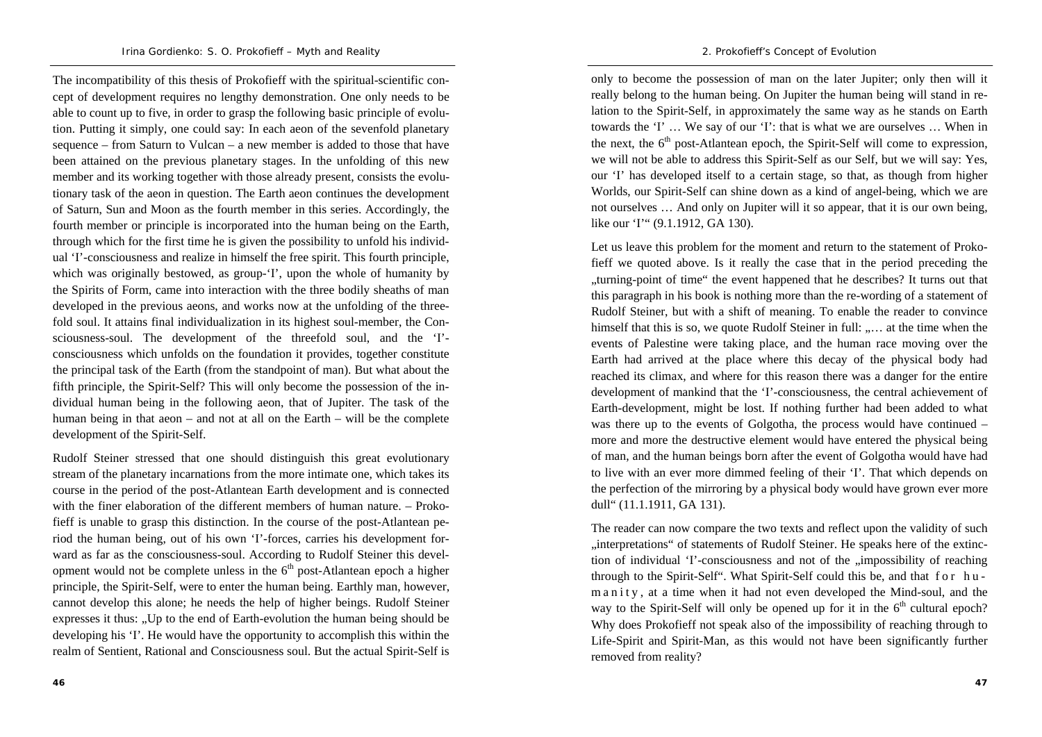The incompatibility of this thesis of Prokofieff with the spiritual-scientific concept of development requires no lengthy demonstration. One only needs to be able to count up to five, in order to grasp the following basic principle of evolution. Putting it simply, one could say: In each aeon of the sevenfold planetary sequence – from Saturn to Vulcan – a new member is added to those that have been attained on the previous planetary stages. In the unfolding of this new member and its working together with those already present, consists the evolutionary task of the aeon in question. The Earth aeon continues the development of Saturn, Sun and Moon as the fourth member in this series. Accordingly, the fourth member or principle is incorporated into the human being on the Earth, through which for the first time he is given the possibility to unfold his individual 'I'-consciousness and realize in himself the free spirit. This fourth principle, which was originally bestowed, as group-'I', upon the whole of humanity by the Spirits of Form, came into interaction with the three bodily sheaths of man developed in the previous aeons, and works now at the unfolding of the threefold soul. It attains final individualization in its highest soul-member, the Consciousness-soul. The development of the threefold soul, and the 'I' consciousness which unfolds on the foundation it provides, together constitute the principal task of the Earth (from the standpoint of man). But what about the fifth principle, the Spirit-Self? This will only become the possession of the individual human being in the following aeon, that of Jupiter. The task of the human being in that aeon – and not at all on the Earth – will be the complete development of the Spirit-Self.

Rudolf Steiner stressed that one should distinguish this great evolutionary stream of the planetary incarnations from the more intimate one, which takes its course in the period of the post-Atlantean Earth development and is connected with the finer elaboration of the different members of human nature. – Prokofieff is unable to grasp this distinction. In the course of the post-Atlantean period the human being, out of his own 'I'-forces, carries his development forward as far as the consciousness-soul. According to Rudolf Steiner this development would not be complete unless in the  $6<sup>th</sup>$  post-Atlantean epoch a higher principle, the Spirit-Self, were to enter the human being. Earthly man, however, cannot develop this alone; he needs the help of higher beings. Rudolf Steiner expresses it thus: .,Up to the end of Earth-evolution the human being should be developing his 'I'. He would have the opportunity to accomplish this within the realm of Sentient, Rational and Consciousness soul. But the actual Spirit-Self is

only to become the possession of man on the later Jupiter; only then will it really belong to the human being. On Jupiter the human being will stand in relation to the Spirit-Self, in approximately the same way as he stands on Earth towards the 'I' … We say of our 'I': that is what we are ourselves … When in the next, the  $6<sup>th</sup>$  post-Atlantean epoch, the Spirit-Self will come to expression, we will not be able to address this Spirit-Self as our Self, but we will say: Yes, our 'I' has developed itself to a certain stage, so that, as though from higher Worlds, our Spirit-Self can shine down as a kind of angel-being, which we are not ourselves … And only on Jupiter will it so appear, that it is our own being, like our 'I'" (9.1.1912, GA 130).

Let us leave this problem for the moment and return to the statement of Prokofieff we quoted above. Is it really the case that in the period preceding the "turning-point of time" the event happened that he describes? It turns out that this paragraph in his book is nothing more than the re-wording of a statement of Rudolf Steiner, but with a shift of meaning. To enable the reader to convince himself that this is so, we quote Rudolf Steiner in full: ..... at the time when the events of Palestine were taking place, and the human race moving over the Earth had arrived at the place where this decay of the physical body had reached its climax, and where for this reason there was a danger for the entire development of mankind that the 'I'-consciousness, the central achievement of Earth-development, might be lost. If nothing further had been added to what was there up to the events of Golgotha, the process would have continued – more and more the destructive element would have entered the physical being of man, and the human beings born after the event of Golgotha would have had to live with an ever more dimmed feeling of their 'I'. That which depends on the perfection of the mirroring by a physical body would have grown ever more dull" (11.1.1911, GA 131).

The reader can now compare the two texts and reflect upon the validity of such "interpretations" of statements of Rudolf Steiner. He speaks here of the extinction of individual 'I'-consciousness and not of the "impossibility of reaching through to the Spirit-Self". What Spirit-Self could this be, and that f o r h u  $m a n i t y$ , at a time when it had not even developed the Mind-soul, and the way to the Spirit-Self will only be opened up for it in the  $6<sup>th</sup>$  cultural epoch? Why does Prokofieff not speak also of the impossibility of reaching through to Life-Spirit and Spirit-Man, as this would not have been significantly further removed from reality?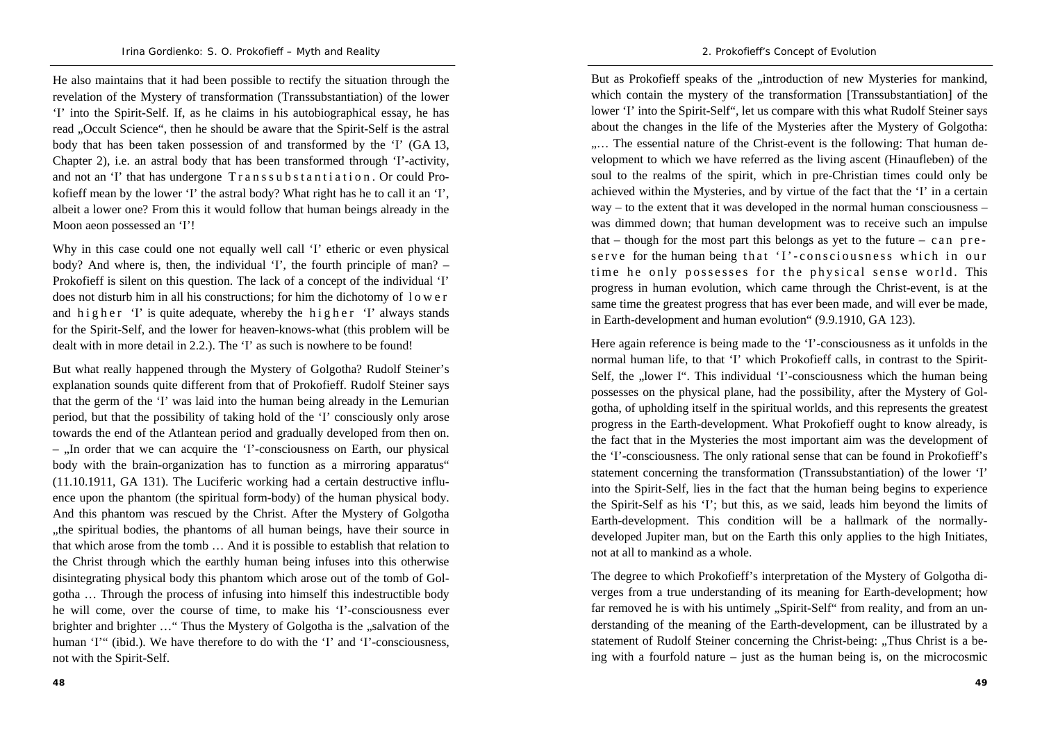He also maintains that it had been possible to rectify the situation through the revelation of the Mystery of transformation (Transsubstantiation) of the lower 'I' into the Spirit-Self. If, as he claims in his autobiographical essay, he has read . Occult Science", then he should be aware that the Spirit-Self is the astral body that has been taken possession of and transformed by the 'I' (GA 13, Chapter 2), i.e. an astral body that has been transformed through 'I'-activity, and not an 'I' that has undergone  $Transsubstantiation$ . Or could Prokofieff mean by the lower 'I' the astral body? What right has he to call it an 'I', albeit a lower one? From this it would follow that human beings already in the Moon aeon possessed an 'I'!

Why in this case could one not equally well call 'I' etheric or even physical body? And where is, then, the individual 'I', the fourth principle of man? – Prokofieff is silent on this question. The lack of a concept of the individual 'I' does not disturb him in all his constructions; for him the dichotomy of l <sup>o</sup> <sup>w</sup> <sup>e</sup> <sup>r</sup> and higher 'I' is quite adequate, whereby the higher 'I' always stands for the Spirit-Self, and the lower for heaven-knows-what (this problem will be dealt with in more detail in 2.2.). The 'I' as such is nowhere to be found!

But what really happened through the Mystery of Golgotha? Rudolf Steiner's explanation sounds quite different from that of Prokofieff. Rudolf Steiner says that the germ of the 'I' was laid into the human being already in the Lemurian period, but that the possibility of taking hold of the 'I' consciously only arose towards the end of the Atlantean period and gradually developed from then on. – "In order that we can acquire the 'I'-consciousness on Earth, our physical body with the brain-organization has to function as a mirroring apparatus" (11.10.1911, GA 131). The Luciferic working had a certain destructive influence upon the phantom (the spiritual form-body) of the human physical body. And this phantom was rescued by the Christ. After the Mystery of Golgotha , the spiritual bodies, the phantoms of all human beings, have their source in that which arose from the tomb … And it is possible to establish that relation to the Christ through which the earthly human being infuses into this otherwise disintegrating physical body this phantom which arose out of the tomb of Golgotha … Through the process of infusing into himself this indestructible body he will come, over the course of time, to make his 'I'-consciousness ever brighter and brighter ... " Thus the Mystery of Golgotha is the "salvation of the human 'I'" (ibid.). We have therefore to do with the 'I' and 'I'-consciousness. not with the Spirit-Self.

But as Prokofieff speaks of the ... introduction of new Mysteries for mankind, which contain the mystery of the transformation [Transsubstantiation] of the lower 'I' into the Spirit-Self", let us compare with this what Rudolf Steiner says about the changes in the life of the Mysteries after the Mystery of Golgotha: ..... The essential nature of the Christ-event is the following: That human development to which we have referred as the living ascent (Hinaufleben) of the soul to the realms of the spirit, which in pre-Christian times could only be achieved within the Mysteries, and by virtue of the fact that the 'I' in a certain way – to the extent that it was developed in the normal human consciousness – was dimmed down; that human development was to receive such an impulse that – though for the most part this belongs as yet to the future – c an p  $re$ serve for the human being that 'I'-consciousness which in our time he only possesses for the physical sense world. This progress in human evolution, which came through the Christ-event, is at the same time the greatest progress that has ever been made, and will ever be made, in Earth-development and human evolution" (9.9.1910, GA 123).

Here again reference is being made to the 'I'-consciousness as it unfolds in the normal human life, to that 'I' which Prokofieff calls, in contrast to the Spirit-Self, the "lower I". This individual 'I'-consciousness which the human being possesses on the physical plane, had the possibility, after the Mystery of Golgotha, of upholding itself in the spiritual worlds, and this represents the greatest progress in the Earth-development. What Prokofieff ought to know already, is the fact that in the Mysteries the most important aim was the development of the 'I'-consciousness. The only rational sense that can be found in Prokofieff's statement concerning the transformation (Transsubstantiation) of the lower 'I' into the Spirit-Self, lies in the fact that the human being begins to experience the Spirit-Self as his 'I'; but this, as we said, leads him beyond the limits of Earth-development. This condition will be a hallmark of the normallydeveloped Jupiter man, but on the Earth this only applies to the high Initiates, not at all to mankind as a whole.

The degree to which Prokofieff's interpretation of the Mystery of Golgotha diverges from a true understanding of its meaning for Earth-development; how far removed he is with his untimely "Spirit-Self" from reality, and from an understanding of the meaning of the Earth-development, can be illustrated by a statement of Rudolf Steiner concerning the Christ-being: "Thus Christ is a being with a fourfold nature – just as the human being is, on the microcosmic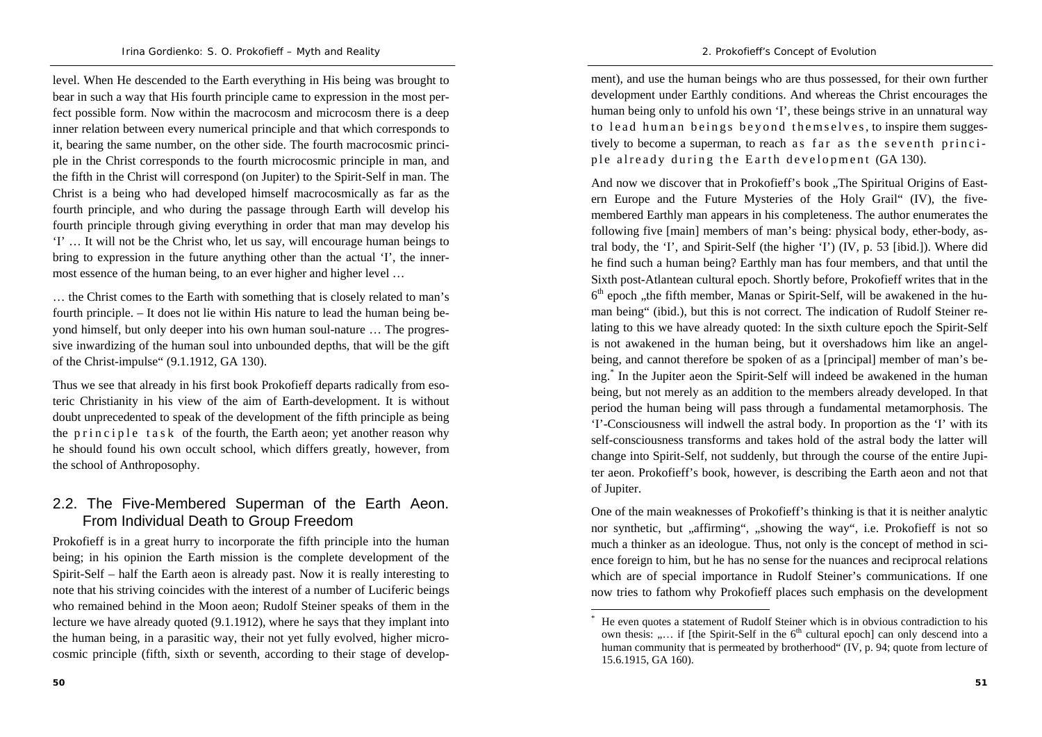level. When He descended to the Earth everything in His being was brought to bear in such a way that His fourth principle came to expression in the most perfect possible form. Now within the macrocosm and microcosm there is a deep inner relation between every numerical principle and that which corresponds to it, bearing the same number, on the other side. The fourth macrocosmic principle in the Christ corresponds to the fourth microcosmic principle in man, and the fifth in the Christ will correspond (on Jupiter) to the Spirit-Self in man. The Christ is a being who had developed himself macrocosmically as far as the fourth principle, and who during the passage through Earth will develop his fourth principle through giving everything in order that man may develop his 'I' … It will not be the Christ who, let us say, will encourage human beings to bring to expression in the future anything other than the actual 'I', the innermost essence of the human being, to an ever higher and higher level …

… the Christ comes to the Earth with something that is closely related to man's fourth principle. – It does not lie within His nature to lead the human being beyond himself, but only deeper into his own human soul-nature … The progressive inwardizing of the human soul into unbounded depths, that will be the gift of the Christ-impulse" (9.1.1912, GA 130).

Thus we see that already in his first book Prokofieff departs radically from esoteric Christianity in his view of the aim of Earth-development. It is without doubt unprecedented to speak of the development of the fifth principle as being the p r in c i p l e t a s k of the fourth, the Earth aeon; yet another reason why he should found his own occult school, which differs greatly, however, from the school of Anthroposophy.

## 2.2. The Five-Membered Superman of the Earth Aeon. From Individual Death to Group Freedom

Prokofieff is in a great hurry to incorporate the fifth principle into the human being; in his opinion the Earth mission is the complete development of the Spirit-Self – half the Earth aeon is already past. Now it is really interesting to note that his striving coincides with the interest of a number of Luciferic beings who remained behind in the Moon aeon; Rudolf Steiner speaks of them in the lecture we have already quoted (9.1.1912), where he says that they implant into the human being, in a parasitic way, their not yet fully evolved, higher microcosmic principle (fifth, sixth or seventh, according to their stage of develop-

ment), and use the human beings who are thus possessed, for their own further development under Earthly conditions. And whereas the Christ encourages the human being only to unfold his own 'I', these beings strive in an unnatural way to lead human beings beyond themselves, to inspire them suggestively to become a superman, to reach as far as the seventh principle already during the Earth development (GA 130).

And now we discover that in Prokofieff's book "The Spiritual Origins of Eastern Europe and the Future Mysteries of the Holy Grail" (IV), the fivemembered Earthly man appears in his completeness. The author enumerates the following five [main] members of man's being: physical body, ether-body, astral body, the 'I', and Spirit-Self (the higher 'I') (IV, p. 53 [ibid.]). Where did he find such a human being? Earthly man has four members, and that until the Sixth post-Atlantean cultural epoch. Shortly before, Prokofieff writes that in the  $6<sup>th</sup>$  epoch , the fifth member, Manas or Spirit-Self, will be awakened in the human being" (ibid.), but this is not correct. The indication of Rudolf Steiner relating to this we have already quoted: In the sixth culture epoch the Spirit-Self is not awakened in the human being, but it overshadows him like an angelbeing, and cannot therefore be spoken of as a [principal] member of man's being.\* In the Jupiter aeon the Spirit-Self will indeed be awakened in the human being, but not merely as an addition to the members already developed. In that period the human being will pass through a fundamental metamorphosis. The 'I'-Consciousness will indwell the astral body. In proportion as the 'I' with its self-consciousness transforms and takes hold of the astral body the latter will change into Spirit-Self, not suddenly, but through the course of the entire Jupiter aeon. Prokofieff's book, however, is describing the Earth aeon and not that of Jupiter.

One of the main weaknesses of Prokofieff's thinking is that it is neither analytic nor synthetic, but "affirming", "showing the way", i.e. Prokofieff is not so much a thinker as an ideologue. Thus, not only is the concept of method in science foreign to him, but he has no sense for the nuances and reciprocal relations which are of special importance in Rudolf Steiner's communications. If one now tries to fathom why Prokofieff places such emphasis on the development

<sup>\*</sup> He even quotes a statement of Rudolf Steiner which is in obvious contradiction to his own thesis: ..... if [the Spirit-Self in the  $6<sup>th</sup>$  cultural epoch] can only descend into a human community that is permeated by brotherhood" (IV, p. 94; quote from lecture of 15.6.1915, GA 160).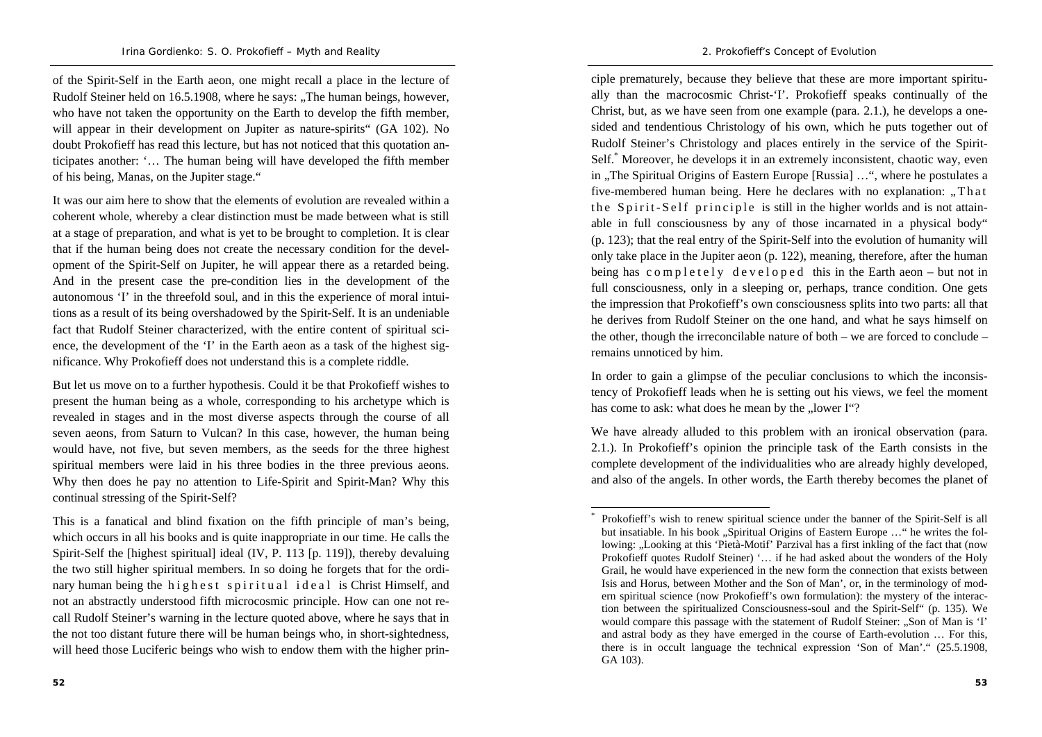of the Spirit-Self in the Earth aeon, one might recall a place in the lecture of Rudolf Steiner held on 16.5.1908, where he says: "The human beings, however, who have not taken the opportunity on the Earth to develop the fifth member, will appear in their development on Jupiter as nature-spirits" (GA 102). No doubt Prokofieff has read this lecture, but has not noticed that this quotation anticipates another: '… The human being will have developed the fifth member of his being, Manas, on the Jupiter stage."

It was our aim here to show that the elements of evolution are revealed within a coherent whole, whereby a clear distinction must be made between what is still at a stage of preparation, and what is yet to be brought to completion. It is clear that if the human being does not create the necessary condition for the development of the Spirit-Self on Jupiter, he will appear there as a retarded being. And in the present case the pre-condition lies in the development of the autonomous 'I' in the threefold soul, and in this the experience of moral intuitions as a result of its being overshadowed by the Spirit-Self. It is an undeniable fact that Rudolf Steiner characterized, with the entire content of spiritual science, the development of the 'I' in the Earth aeon as a task of the highest significance. Why Prokofieff does not understand this is a complete riddle.

But let us move on to a further hypothesis. Could it be that Prokofieff wishes to present the human being as a whole, corresponding to his archetype which is revealed in stages and in the most diverse aspects through the course of all seven aeons, from Saturn to Vulcan? In this case, however, the human being would have, not five, but seven members, as the seeds for the three highest spiritual members were laid in his three bodies in the three previous aeons. Why then does he pay no attention to Life-Spirit and Spirit-Man? Why this continual stressing of the Spirit-Self?

ciple prematurely, because they believe that these are more important spiritually than the macrocosmic Christ-'I'. Prokofieff speaks continually of the Christ, but, as we have seen from one example (para. 2.1.), he develops a onesided and tendentious Christology of his own, which he puts together out of Rudolf Steiner's Christology and places entirely in the service of the Spirit-Self.\* Moreover, he develops it in an extremely inconsistent, chaotic way, even in "The Spiritual Origins of Eastern Europe [Russia] ...", where he postulates a five-membered human being. Here he declares with no explanation:  $\pi$ Th at the Spirit-Self principle is still in the higher worlds and is not attainable in full consciousness by any of those incarnated in a physical body" (p. 123); that the real entry of the Spirit-Self into the evolution of humanity will only take place in the Jupiter aeon (p. 122), meaning, therefore, after the human being has completely developed this in the Earth aeon – but not in full consciousness, only in a sleeping or, perhaps, trance condition. One gets the impression that Prokofieff's own consciousness splits into two parts: all that he derives from Rudolf Steiner on the one hand, and what he says himself on the other, though the irreconcilable nature of both – we are forced to conclude – remains unnoticed by him.

In order to gain a glimpse of the peculiar conclusions to which the inconsistency of Prokofieff leads when he is setting out his views, we feel the moment has come to ask: what does he mean by the ..lower I"?

We have already alluded to this problem with an ironical observation (para. 2.1.). In Prokofieff's opinion the principle task of the Earth consists in the complete development of the individualities who are already highly developed, and also of the angels. In other words, the Earth thereby becomes the planet of

This is a fanatical and blind fixation on the fifth principle of man's being, which occurs in all his books and is quite inappropriate in our time. He calls the Spirit-Self the [highest spiritual] ideal (IV, P. 113 [p. 119]), thereby devaluing the two still higher spiritual members. In so doing he forgets that for the ordinary human being the highest spiritual ideal is Christ Himself, and not an abstractly understood fifth microcosmic principle. How can one not recall Rudolf Steiner's warning in the lecture quoted above, where he says that in the not too distant future there will be human beings who, in short-sightedness, will heed those Luciferic beings who wish to endow them with the higher prin-

Prokofieff's wish to renew spiritual science under the banner of the Spirit-Self is all but insatiable. In his book "Spiritual Origins of Eastern Europe ..." he writes the following: ..Looking at this 'Pietà-Motif' Parzival has a first inkling of the fact that (now Prokofieff quotes Rudolf Steiner) '… if he had asked about the wonders of the Holy Grail, he would have experienced in the new form the connection that exists between Isis and Horus, between Mother and the Son of Man', or, in the terminology of modern spiritual science (now Prokofieff's own formulation): the mystery of the interaction between the spiritualized Consciousness-soul and the Spirit-Self" (p. 135). We would compare this passage with the statement of Rudolf Steiner: "Son of Man is 'I' and astral body as they have emerged in the course of Earth-evolution … For this, there is in occult language the technical expression 'Son of Man'." (25.5.1908, GA 103).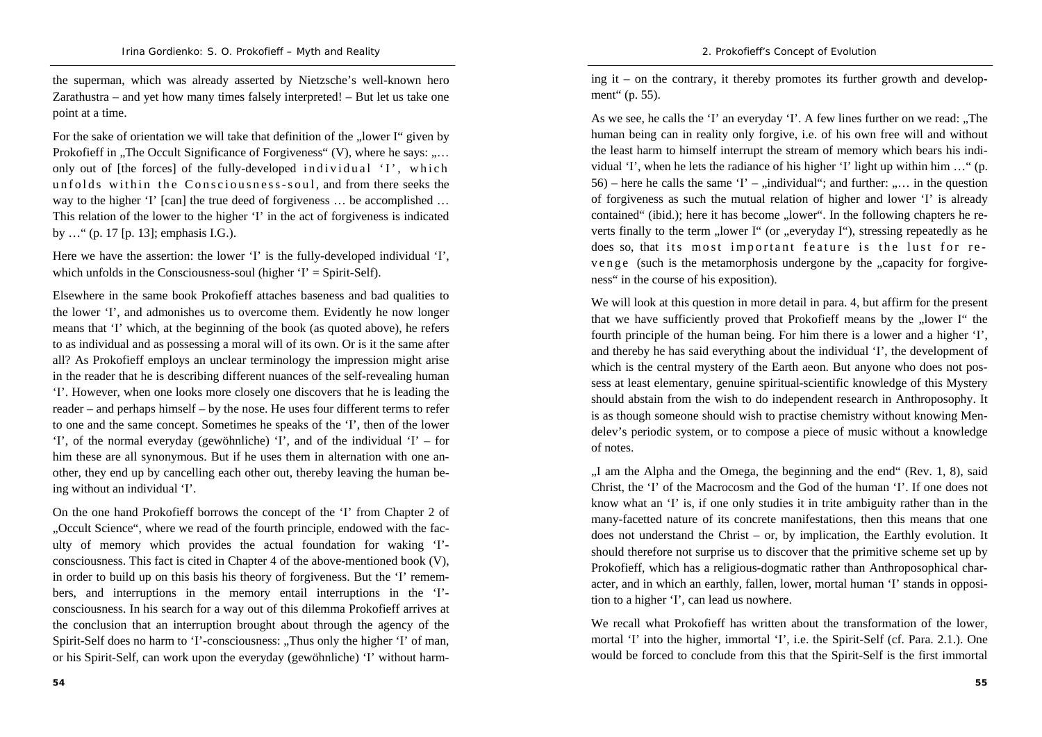the superman, which was already asserted by Nietzsche's well-known hero Zarathustra – and yet how many times falsely interpreted! – But let us take one point at a time.

For the sake of orientation we will take that definition of the ... lower I" given by Prokofieff in  $\alpha$ . The Occult Significance of Forgiveness" (V), where he says:  $\alpha$ ... only out of [the forces] of the fully-developed individual  $'I'$ , which unfolds within the Consciousness-soul, and from there seeks the way to the higher 'I' [can] the true deed of forgiveness ... be accomplished ... This relation of the lower to the higher 'I' in the act of forgiveness is indicated by …" (p. 17 [p. 13]; emphasis I.G.).

Here we have the assertion: the lower 'I' is the fully-developed individual 'I', which unfolds in the Consciousness-soul (higher  $T =$  Spirit-Self).

Elsewhere in the same book Prokofieff attaches baseness and bad qualities to the lower 'I', and admonishes us to overcome them. Evidently he now longer means that 'I' which, at the beginning of the book (as quoted above), he refers to as individual and as possessing a moral will of its own. Or is it the same after all? As Prokofieff employs an unclear terminology the impression might arise in the reader that he is describing different nuances of the self-revealing human 'I'. However, when one looks more closely one discovers that he is leading the reader – and perhaps himself – by the nose. He uses four different terms to refer to one and the same concept. Sometimes he speaks of the 'I', then of the lower 'I', of the normal everyday (gewöhnliche) 'I', and of the individual 'I' – for him these are all synonymous. But if he uses them in alternation with one another, they end up by cancelling each other out, thereby leaving the human being without an individual 'I'.

On the one hand Prokofieff borrows the concept of the 'I' from Chapter 2 of "Occult Science", where we read of the fourth principle, endowed with the faculty of memory which provides the actual foundation for waking 'I' consciousness. This fact is cited in Chapter 4 of the above-mentioned book (V), in order to build up on this basis his theory of forgiveness. But the 'I' remembers, and interruptions in the memory entail interruptions in the 'I' consciousness. In his search for a way out of this dilemma Prokofieff arrives at the conclusion that an interruption brought about through the agency of the Spirit-Self does no harm to 'I'-consciousness: "Thus only the higher 'I' of man, or his Spirit-Self, can work upon the everyday (gewöhnliche) 'I' without harming it – on the contrary, it thereby promotes its further growth and development" (p. 55).

As we see, he calls the 'I' an everyday 'I'. A few lines further on we read:  $\Box$  The human being can in reality only forgive, i.e. of his own free will and without the least harm to himself interrupt the stream of memory which bears his individual 'I', when he lets the radiance of his higher 'I' light up within him …" (p.  $56$ ) – here he calls the same 'I' – "individual"; and further: "... in the question of forgiveness as such the mutual relation of higher and lower 'I' is already contained" (ibid.); here it has become "lower". In the following chapters he reverts finally to the term "lower I" (or "everyday I"), stressing repeatedly as he does so, that its most important feature is the lust for rev e n g e (such is the metamorphosis undergone by the "capacity for forgiveness" in the course of his exposition).

We will look at this question in more detail in para. 4, but affirm for the present that we have sufficiently proved that Prokofieff means by the "lower I" the fourth principle of the human being. For him there is a lower and a higher 'I', and thereby he has said everything about the individual 'I', the development of which is the central mystery of the Earth aeon. But anyone who does not possess at least elementary, genuine spiritual-scientific knowledge of this Mystery should abstain from the wish to do independent research in Anthroposophy. It is as though someone should wish to practise chemistry without knowing Mendelev's periodic system, or to compose a piece of music without a knowledge of notes.

 $I$ , I am the Alpha and the Omega, the beginning and the end" (Rev. 1, 8), said Christ, the 'I' of the Macrocosm and the God of the human 'I'. If one does not know what an 'I' is, if one only studies it in trite ambiguity rather than in the many-facetted nature of its concrete manifestations, then this means that one does not understand the Christ – or, by implication, the Earthly evolution. It should therefore not surprise us to discover that the primitive scheme set up by Prokofieff, which has a religious-dogmatic rather than Anthroposophical character, and in which an earthly, fallen, lower, mortal human 'I' stands in opposition to a higher 'I', can lead us nowhere.

We recall what Prokofieff has written about the transformation of the lower, mortal 'I' into the higher, immortal 'I', i.e. the Spirit-Self (cf. Para. 2.1.). One would be forced to conclude from this that the Spirit-Self is the first immortal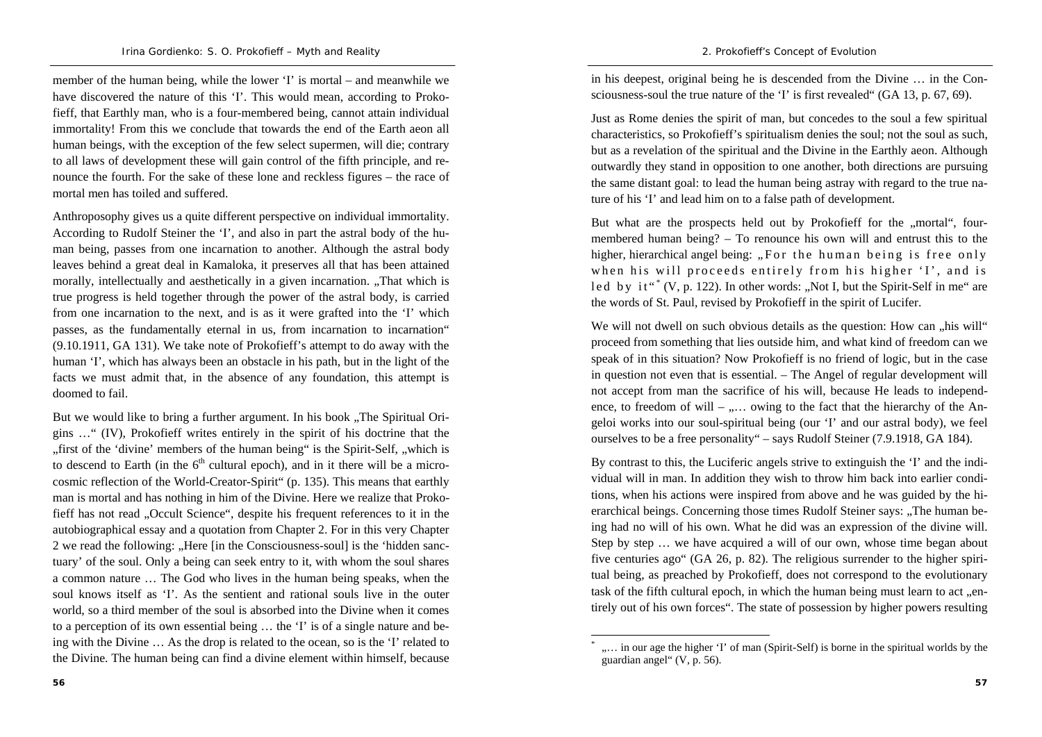member of the human being, while the lower 'I' is mortal – and meanwhile we have discovered the nature of this 'I'. This would mean, according to Prokofieff, that Earthly man, who is a four-membered being, cannot attain individual immortality! From this we conclude that towards the end of the Earth aeon all human beings, with the exception of the few select supermen, will die; contrary to all laws of development these will gain control of the fifth principle, and renounce the fourth. For the sake of these lone and reckless figures – the race of mortal men has toiled and suffered.

Anthroposophy gives us a quite different perspective on individual immortality. According to Rudolf Steiner the 'I', and also in part the astral body of the human being, passes from one incarnation to another. Although the astral body leaves behind a great deal in Kamaloka, it preserves all that has been attained morally, intellectually and aesthetically in a given incarnation. .That which is true progress is held together through the power of the astral body, is carried from one incarnation to the next, and is as it were grafted into the 'I' which passes, as the fundamentally eternal in us, from incarnation to incarnation" (9.10.1911, GA 131). We take note of Prokofieff's attempt to do away with the human 'I', which has always been an obstacle in his path, but in the light of the facts we must admit that, in the absence of any foundation, this attempt is doomed to fail.

But we would like to bring a further argument. In his book "The Spiritual Origins …" (IV), Prokofieff writes entirely in the spirit of his doctrine that the "first of the 'divine' members of the human being" is the Spirit-Self, "which is to descend to Earth (in the  $6<sup>th</sup>$  cultural epoch), and in it there will be a microcosmic reflection of the World-Creator-Spirit" (p. 135). This means that earthly man is mortal and has nothing in him of the Divine. Here we realize that Prokofieff has not read "Occult Science", despite his frequent references to it in the autobiographical essay and a quotation from Chapter 2. For in this very Chapter 2 we read the following: "Here [in the Consciousness-soul] is the 'hidden sanctuary' of the soul. Only a being can seek entry to it, with whom the soul shares a common nature … The God who lives in the human being speaks, when the soul knows itself as 'I'. As the sentient and rational souls live in the outer world, so a third member of the soul is absorbed into the Divine when it comes to a perception of its own essential being … the 'I' is of a single nature and being with the Divine … As the drop is related to the ocean, so is the 'I' related to the Divine. The human being can find a divine element within himself, because

in his deepest, original being he is descended from the Divine … in the Consciousness-soul the true nature of the 'I' is first revealed" (GA 13, p. 67, 69).

Just as Rome denies the spirit of man, but concedes to the soul a few spiritual characteristics, so Prokofieff's spiritualism denies the soul; not the soul as such, but as a revelation of the spiritual and the Divine in the Earthly aeon. Although outwardly they stand in opposition to one another, both directions are pursuing the same distant goal: to lead the human being astray with regard to the true nature of his 'I' and lead him on to a false path of development.

But what are the prospects held out by Prokofieff for the "mortal", fourmembered human being? – To renounce his own will and entrust this to the higher, hierarchical angel being: "For the human being is free only when his will proceeds entirely from his higher 'I', and is led by  $it''(V, p. 122)$ . In other words: "Not I, but the Spirit-Self in me" are the words of St. Paul, revised by Prokofieff in the spirit of Lucifer.

We will not dwell on such obvious details as the question: How can  $\mu$ his will" proceed from something that lies outside him, and what kind of freedom can we speak of in this situation? Now Prokofieff is no friend of logic, but in the case in question not even that is essential. – The Angel of regular development will not accept from man the sacrifice of his will, because He leads to independence, to freedom of will –  $\dots$  owing to the fact that the hierarchy of the Angeloi works into our soul-spiritual being (our 'I' and our astral body), we feel ourselves to be a free personality" – says Rudolf Steiner (7.9.1918, GA 184).

By contrast to this, the Luciferic angels strive to extinguish the 'I' and the individual will in man. In addition they wish to throw him back into earlier conditions, when his actions were inspired from above and he was guided by the hierarchical beings. Concerning those times Rudolf Steiner says: "The human being had no will of his own. What he did was an expression of the divine will. Step by step … we have acquired a will of our own, whose time began about five centuries ago" (GA 26, p. 82). The religious surrender to the higher spiritual being, as preached by Prokofieff, does not correspond to the evolutionary task of the fifth cultural epoch, in which the human being must learn to act "entirely out of his own forces". The state of possession by higher powers resulting

<sup>&</sup>quot;... in our age the higher 'I' of man (Spirit-Self) is borne in the spiritual worlds by the guardian angel" (V, p. 56).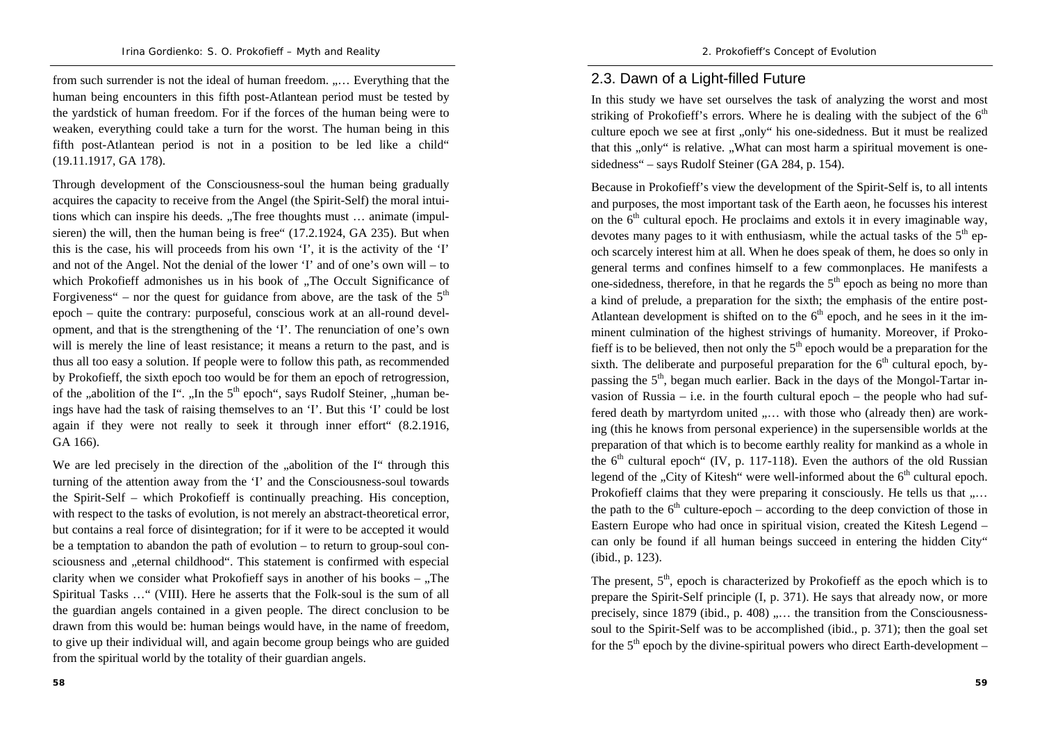*2. Prokofieff's Concept of Evolution* 

from such surrender is not the ideal of human freedom. ..... Everything that the human being encounters in this fifth post-Atlantean period must be tested by the yardstick of human freedom. For if the forces of the human being were to weaken, everything could take a turn for the worst. The human being in this fifth post-Atlantean period is not in a position to be led like a child" (19.11.1917, GA 178).

Through development of the Consciousness-soul the human being gradually acquires the capacity to receive from the Angel (the Spirit-Self) the moral intuitions which can inspire his deeds. "The free thoughts must ... animate (impulsieren) the will, then the human being is free" (17.2.1924, GA 235). But when this is the case, his will proceeds from his own 'I', it is the activity of the 'I' and not of the Angel. Not the denial of the lower 'I' and of one's own will – to which Prokofieff admonishes us in his book of ..The Occult Significance of Forgiveness" – nor the quest for guidance from above, are the task of the  $5<sup>th</sup>$ epoch – quite the contrary: purposeful, conscious work at an all-round development, and that is the strengthening of the 'I'. The renunciation of one's own will is merely the line of least resistance; it means a return to the past, and is thus all too easy a solution. If people were to follow this path, as recommended by Prokofieff, the sixth epoch too would be for them an epoch of retrogression, of the  $\alpha$  abolition of the I".  $\alpha$  In the 5<sup>th</sup> epoch", says Rudolf Steiner,  $\alpha$  human beings have had the task of raising themselves to an 'I'. But this 'I' could be lost again if they were not really to seek it through inner effort" (8.2.1916, GA 166).

We are led precisely in the direction of the "abolition of the I" through this turning of the attention away from the 'I' and the Consciousness-soul towards the Spirit-Self – which Prokofieff is continually preaching. His conception, with respect to the tasks of evolution, is not merely an abstract-theoretical error, but contains a real force of disintegration; for if it were to be accepted it would be a temptation to abandon the path of evolution – to return to group-soul consciousness and "eternal childhood". This statement is confirmed with especial clarity when we consider what Prokofieff says in another of his books  $-$  ., The Spiritual Tasks …" (VIII). Here he asserts that the Folk-soul is the sum of all the guardian angels contained in a given people. The direct conclusion to be drawn from this would be: human beings would have, in the name of freedom, to give up their individual will, and again become group beings who are guided from the spiritual world by the totality of their guardian angels.

## 2.3. Dawn of a Light-filled Future

In this study we have set ourselves the task of analyzing the worst and most striking of Prokofieff's errors. Where he is dealing with the subject of the  $6<sup>th</sup>$ culture epoch we see at first "only" his one-sidedness. But it must be realized that this "only" is relative. "What can most harm a spiritual movement is onesidedness" – says Rudolf Steiner (GA 284, p. 154).

Because in Prokofieff's view the development of the Spirit-Self is, to all intents and purposes, the most important task of the Earth aeon, he focusses his interest on the  $6<sup>th</sup>$  cultural epoch. He proclaims and extols it in every imaginable way. devotes many pages to it with enthusiasm, while the actual tasks of the  $5<sup>th</sup>$  epoch scarcely interest him at all. When he does speak of them, he does so only in general terms and confines himself to a few commonplaces. He manifests a one-sidedness, therefore, in that he regards the  $5<sup>th</sup>$  epoch as being no more than a kind of prelude, a preparation for the sixth; the emphasis of the entire post-Atlantean development is shifted on to the  $6<sup>th</sup>$  epoch, and he sees in it the imminent culmination of the highest strivings of humanity. Moreover, if Prokofieff is to be believed, then not only the  $5<sup>th</sup>$  epoch would be a preparation for the sixth. The deliberate and purposeful preparation for the  $6<sup>th</sup>$  cultural epoch, bypassing the  $5<sup>th</sup>$ , began much earlier. Back in the days of the Mongol-Tartar invasion of Russia – i.e. in the fourth cultural epoch – the people who had suffered death by martyrdom united ..... with those who (already then) are working (this he knows from personal experience) in the supersensible worlds at the preparation of that which is to become earthly reality for mankind as a whole in the  $6<sup>th</sup>$  cultural epoch" (IV, p. 117-118). Even the authors of the old Russian legend of the "City of Kitesh" were well-informed about the  $6<sup>th</sup>$  cultural epoch. Prokofieff claims that they were preparing it consciously. He tells us that  $\dots$ the path to the  $6<sup>th</sup>$  culture-epoch – according to the deep conviction of those in Eastern Europe who had once in spiritual vision, created the Kitesh Legend – can only be found if all human beings succeed in entering the hidden City" (ibid., p. 123).

The present,  $5<sup>th</sup>$ , epoch is characterized by Prokofieff as the epoch which is to prepare the Spirit-Self principle (I, p. 371). He says that already now, or more precisely, since 1879 (ibid., p. 408)  $, \ldots$  the transition from the Consciousnesssoul to the Spirit-Self was to be accomplished (ibid., p. 371); then the goal set for the  $5<sup>th</sup>$  epoch by the divine-spiritual powers who direct Earth-development –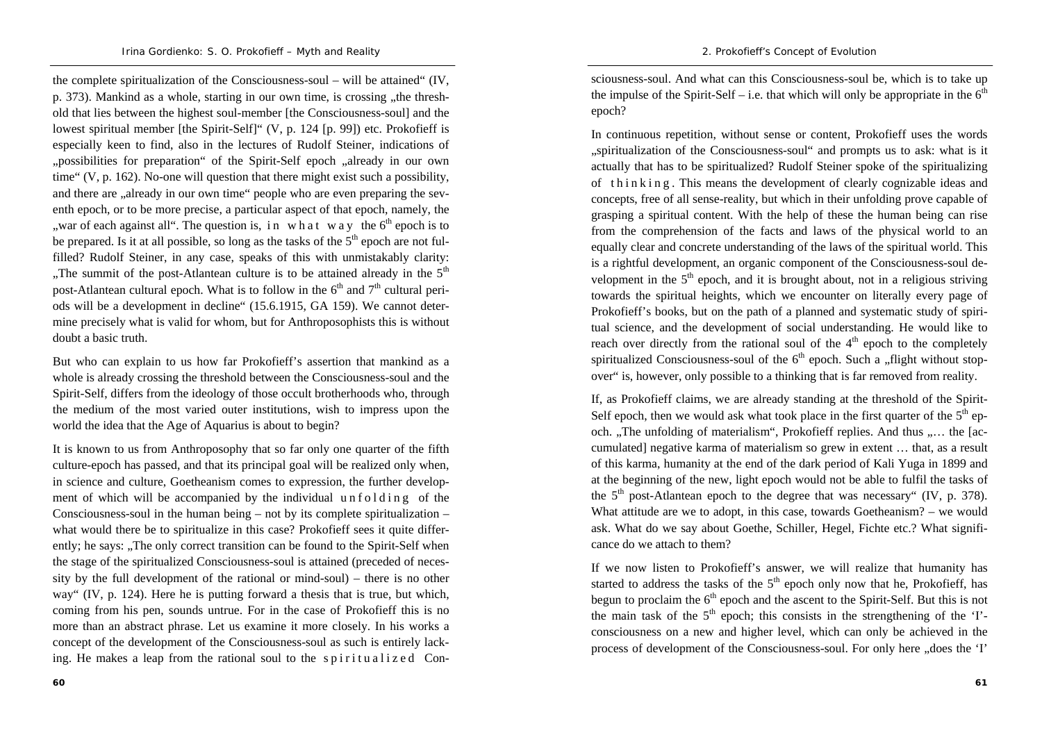the complete spiritualization of the Consciousness-soul – will be attained" (IV, p. 373). Mankind as a whole, starting in our own time, is crossing , the threshold that lies between the highest soul-member [the Consciousness-soul] and the lowest spiritual member [the Spirit-Self]" (V, p. 124 [p. 99]) etc. Prokofieff is especially keen to find, also in the lectures of Rudolf Steiner, indications of "possibilities for preparation" of the Spirit-Self epoch "already in our own time" (V, p. 162). No-one will question that there might exist such a possibility, and there are  $\alpha$ , already in our own time" people who are even preparing the seventh epoch, or to be more precise, a particular aspect of that epoch, namely, the ", war of each against all". The question is, in what way the  $6<sup>th</sup>$  epoch is to be prepared. Is it at all possible, so long as the tasks of the  $5<sup>th</sup>$  epoch are not fulfilled? Rudolf Steiner, in any case, speaks of this with unmistakably clarity: "The summit of the post-Atlantean culture is to be attained already in the  $5<sup>th</sup>$ post-Atlantean cultural epoch. What is to follow in the  $6<sup>th</sup>$  and  $7<sup>th</sup>$  cultural periods will be a development in decline" (15.6.1915, GA 159). We cannot determine precisely what is valid for whom, but for Anthroposophists this is without doubt a basic truth.

But who can explain to us how far Prokofieff's assertion that mankind as a whole is already crossing the threshold between the Consciousness-soul and the Spirit-Self, differs from the ideology of those occult brotherhoods who, through the medium of the most varied outer institutions, wish to impress upon the world the idea that the Age of Aquarius is about to begin?

It is known to us from Anthroposophy that so far only one quarter of the fifth culture-epoch has passed, and that its principal goal will be realized only when, in science and culture, Goetheanism comes to expression, the further development of which will be accompanied by the individual unfolding of the Consciousness-soul in the human being – not by its complete spiritualization – what would there be to spiritualize in this case? Prokofieff sees it quite differently; he says: "The only correct transition can be found to the Spirit-Self when the stage of the spiritualized Consciousness-soul is attained (preceded of necessity by the full development of the rational or mind-soul) – there is no other way" (IV, p. 124). Here he is putting forward a thesis that is true, but which, coming from his pen, sounds untrue. For in the case of Prokofieff this is no more than an abstract phrase. Let us examine it more closely. In his works a concept of the development of the Consciousness-soul as such is entirely lacking. He makes a leap from the rational soul to the spiritualized Consciousness-soul. And what can this Consciousness-soul be, which is to take up the impulse of the Spirit-Self – i.e. that which will only be appropriate in the  $6<sup>th</sup>$ epoch?

In continuous repetition, without sense or content, Prokofieff uses the words "spiritualization of the Consciousness-soul" and prompts us to ask: what is it actually that has to be spiritualized? Rudolf Steiner spoke of the spiritualizing of thin king. This means the development of clearly cognizable ideas and concepts, free of all sense-reality, but which in their unfolding prove capable of grasping a spiritual content. With the help of these the human being can rise from the comprehension of the facts and laws of the physical world to an equally clear and concrete understanding of the laws of the spiritual world. This is a rightful development, an organic component of the Consciousness-soul development in the  $5<sup>th</sup>$  epoch, and it is brought about, not in a religious striving towards the spiritual heights, which we encounter on literally every page of Prokofieff's books, but on the path of a planned and systematic study of spiritual science, and the development of social understanding. He would like to reach over directly from the rational soul of the  $4<sup>th</sup>$  epoch to the completely spiritualized Consciousness-soul of the  $6<sup>th</sup>$  epoch. Such a "flight without stopover" is, however, only possible to a thinking that is far removed from reality.

If, as Prokofieff claims, we are already standing at the threshold of the Spirit-Self epoch, then we would ask what took place in the first quarter of the  $5<sup>th</sup>$  epoch. "The unfolding of materialism", Prokofieff replies. And thus "... the [accumulated] negative karma of materialism so grew in extent … that, as a result of this karma, humanity at the end of the dark period of Kali Yuga in 1899 and at the beginning of the new, light epoch would not be able to fulfil the tasks of the  $5<sup>th</sup>$  post-Atlantean epoch to the degree that was necessary" (IV, p. 378). What attitude are we to adopt, in this case, towards Goetheanism? – we would ask. What do we say about Goethe, Schiller, Hegel, Fichte etc.? What significance do we attach to them?

If we now listen to Prokofieff's answer, we will realize that humanity has started to address the tasks of the  $5<sup>th</sup>$  epoch only now that he, Prokofieff, has begun to proclaim the  $6<sup>th</sup>$  epoch and the ascent to the Spirit-Self. But this is not the main task of the  $5<sup>th</sup>$  epoch; this consists in the strengthening of the 'I'consciousness on a new and higher level, which can only be achieved in the process of development of the Consciousness-soul. For only here "does the 'I'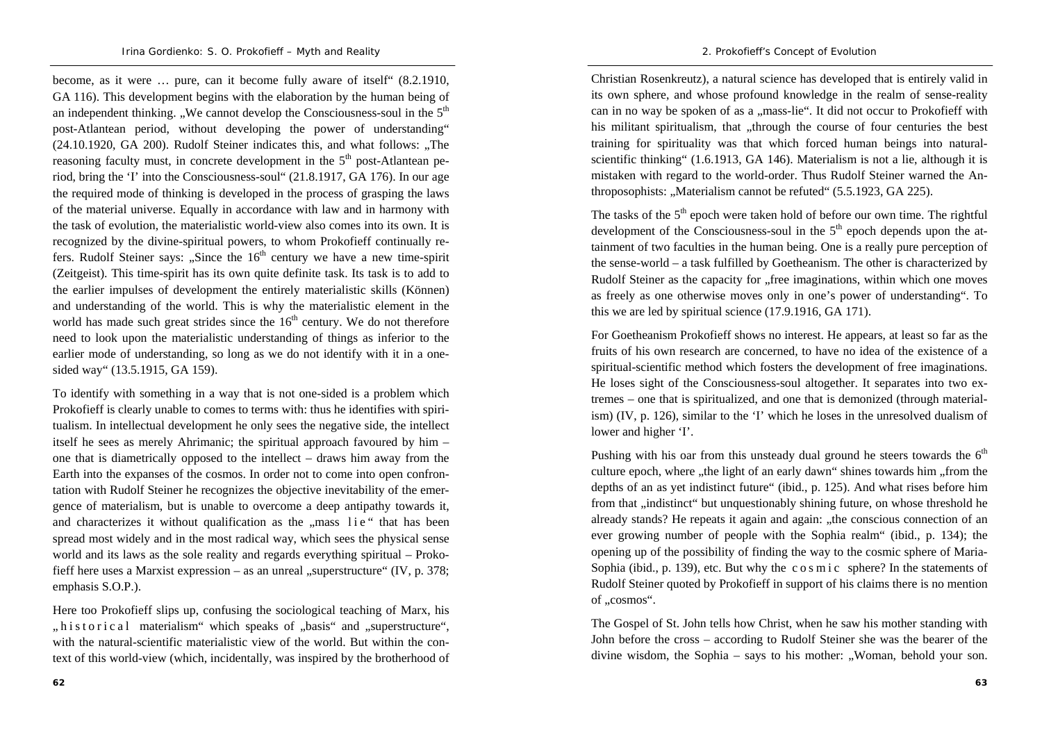become, as it were … pure, can it become fully aware of itself" (8.2.1910, GA 116). This development begins with the elaboration by the human being of an independent thinking. "We cannot develop the Consciousness-soul in the  $5<sup>th</sup>$ post-Atlantean period, without developing the power of understanding"  $(24.10.1920, GA 200)$ . Rudolf Steiner indicates this, and what follows: "The reasoning faculty must, in concrete development in the  $5<sup>th</sup>$  post-Atlantean period, bring the 'I' into the Consciousness-soul" (21.8.1917, GA 176). In our age the required mode of thinking is developed in the process of grasping the laws of the material universe. Equally in accordance with law and in harmony with the task of evolution, the materialistic world-view also comes into its own. It is recognized by the divine-spiritual powers, to whom Prokofieff continually refers. Rudolf Steiner says: "Since the  $16<sup>th</sup>$  century we have a new time-spirit (Zeitgeist). This time-spirit has its own quite definite task. Its task is to add to the earlier impulses of development the entirely materialistic skills (Können) and understanding of the world. This is why the materialistic element in the world has made such great strides since the  $16<sup>th</sup>$  century. We do not therefore need to look upon the materialistic understanding of things as inferior to the earlier mode of understanding, so long as we do not identify with it in a onesided way" (13.5.1915, GA 159).

To identify with something in a way that is not one-sided is a problem which Prokofieff is clearly unable to comes to terms with: thus he identifies with spiritualism. In intellectual development he only sees the negative side, the intellect itself he sees as merely Ahrimanic; the spiritual approach favoured by him – one that is diametrically opposed to the intellect – draws him away from the Earth into the expanses of the cosmos. In order not to come into open confrontation with Rudolf Steiner he recognizes the objective inevitability of the emergence of materialism, but is unable to overcome a deep antipathy towards it, and characterizes it without qualification as the "mass lie" that has been spread most widely and in the most radical way, which sees the physical sense world and its laws as the sole reality and regards everything spiritual – Prokofieff here uses a Marxist expression – as an unreal "superstructure" (IV, p. 378; emphasis S.O.P.).

Here too Prokofieff slips up, confusing the sociological teaching of Marx, his ", h i s t o r i c a l materialism" which speaks of "basis" and "superstructure", with the natural-scientific materialistic view of the world. But within the context of this world-view (which, incidentally, was inspired by the brotherhood of

Christian Rosenkreutz), a natural science has developed that is entirely valid in its own sphere, and whose profound knowledge in the realm of sense-reality can in no way be spoken of as a "mass-lie". It did not occur to Prokofieff with his militant spiritualism, that "through the course of four centuries the best training for spirituality was that which forced human beings into naturalscientific thinking" (1.6.1913, GA 146). Materialism is not a lie, although it is mistaken with regard to the world-order. Thus Rudolf Steiner warned the Anthroposophists: "Materialism cannot be refuted" (5.5.1923, GA 225).

The tasks of the  $5<sup>th</sup>$  epoch were taken hold of before our own time. The rightful development of the Consciousness-soul in the  $5<sup>th</sup>$  epoch depends upon the attainment of two faculties in the human being. One is a really pure perception of the sense-world – a task fulfilled by Goetheanism. The other is characterized by Rudolf Steiner as the capacity for "free imaginations, within which one moves as freely as one otherwise moves only in one's power of understanding". To this we are led by spiritual science (17.9.1916, GA 171).

For Goetheanism Prokofieff shows no interest. He appears, at least so far as the fruits of his own research are concerned, to have no idea of the existence of a spiritual-scientific method which fosters the development of free imaginations. He loses sight of the Consciousness-soul altogether. It separates into two extremes – one that is spiritualized, and one that is demonized (through materialism) (IV, p. 126), similar to the 'I' which he loses in the unresolved dualism of lower and higher 'I'.

Pushing with his oar from this unsteady dual ground he steers towards the  $6<sup>th</sup>$ culture epoch, where "the light of an early dawn" shines towards him "from the depths of an as yet indistinct future" (ibid., p. 125). And what rises before him from that "indistinct" but unquestionably shining future, on whose threshold he already stands? He repeats it again and again: "the conscious connection of an ever growing number of people with the Sophia realm" (ibid., p. 134); the opening up of the possibility of finding the way to the cosmic sphere of Maria-Sophia (ibid., p. 139), etc. But why the c o s m i c sphere? In the statements of Rudolf Steiner quoted by Prokofieff in support of his claims there is no mention of ..cosmos".

The Gospel of St. John tells how Christ, when he saw his mother standing with John before the cross – according to Rudolf Steiner she was the bearer of the divine wisdom, the Sophia – says to his mother:  $\sqrt{N}$  Woman, behold your son.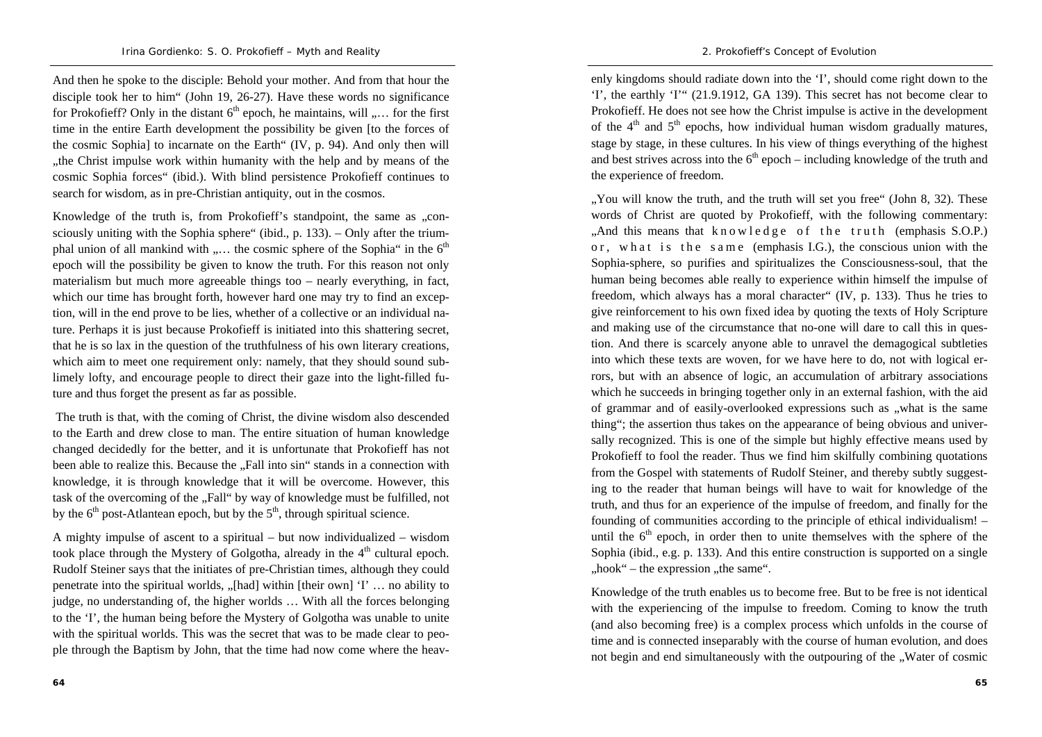And then he spoke to the disciple: Behold your mother. And from that hour the disciple took her to him" (John 19, 26-27). Have these words no significance for Prokofieff? Only in the distant  $6<sup>th</sup>$  epoch, he maintains, will  $\ldots$  for the first time in the entire Earth development the possibility be given [to the forces of the cosmic Sophia] to incarnate on the Earth" (IV, p. 94). And only then will the Christ impulse work within humanity with the help and by means of the cosmic Sophia forces" (ibid.). With blind persistence Prokofieff continues to search for wisdom, as in pre-Christian antiquity, out in the cosmos.

Knowledge of the truth is, from Prokofieff's standpoint, the same as ...consciously uniting with the Sophia sphere" (ibid., p. 133). – Only after the triumphal union of all mankind with  $\ldots$  the cosmic sphere of the Sophia" in the  $6<sup>th</sup>$ epoch will the possibility be given to know the truth. For this reason not only materialism but much more agreeable things too – nearly everything, in fact, which our time has brought forth, however hard one may try to find an exception, will in the end prove to be lies, whether of a collective or an individual nature. Perhaps it is just because Prokofieff is initiated into this shattering secret, that he is so lax in the question of the truthfulness of his own literary creations, which aim to meet one requirement only: namely, that they should sound sublimely lofty, and encourage people to direct their gaze into the light-filled future and thus forget the present as far as possible.

 The truth is that, with the coming of Christ, the divine wisdom also descended to the Earth and drew close to man. The entire situation of human knowledge changed decidedly for the better, and it is unfortunate that Prokofieff has not been able to realize this. Because the "Fall into sin" stands in a connection with knowledge, it is through knowledge that it will be overcome. However, this task of the overcoming of the "Fall" by way of knowledge must be fulfilled, not by the  $6<sup>th</sup>$  post-Atlantean epoch, but by the  $5<sup>th</sup>$ , through spiritual science.

A mighty impulse of ascent to a spiritual – but now individualized – wisdom took place through the Mystery of Golgotha, already in the  $4<sup>th</sup>$  cultural epoch. Rudolf Steiner says that the initiates of pre-Christian times, although they could penetrate into the spiritual worlds,  $\mathcal{L}$ , [had] within [their own] 'I'  $\ldots$  no ability to judge, no understanding of, the higher worlds … With all the forces belonging to the 'I', the human being before the Mystery of Golgotha was unable to unite with the spiritual worlds. This was the secret that was to be made clear to people through the Baptism by John, that the time had now come where the heav-

enly kingdoms should radiate down into the 'I', should come right down to the 'I', the earthly 'I'" (21.9.1912, GA 139). This secret has not become clear to Prokofieff. He does not see how the Christ impulse is active in the development of the  $4<sup>th</sup>$  and  $5<sup>th</sup>$  epochs, how individual human wisdom gradually matures, stage by stage, in these cultures. In his view of things everything of the highest and best strives across into the  $6<sup>th</sup>$  epoch – including knowledge of the truth and the experience of freedom.

". You will know the truth, and the truth will set you free" (John 8, 32). These words of Christ are quoted by Prokofieff, with the following commentary: "And this means that knowledge of the truth (emphasis S.O.P.) or, what is the same (emphasis I.G.), the conscious union with the Sophia-sphere, so purifies and spiritualizes the Consciousness-soul, that the human being becomes able really to experience within himself the impulse of freedom, which always has a moral character" (IV, p. 133). Thus he tries to give reinforcement to his own fixed idea by quoting the texts of Holy Scripture and making use of the circumstance that no-one will dare to call this in question. And there is scarcely anyone able to unravel the demagogical subtleties into which these texts are woven, for we have here to do, not with logical errors, but with an absence of logic, an accumulation of arbitrary associations which he succeeds in bringing together only in an external fashion, with the aid of grammar and of easily-overlooked expressions such as .what is the same thing"; the assertion thus takes on the appearance of being obvious and universally recognized. This is one of the simple but highly effective means used by Prokofieff to fool the reader. Thus we find him skilfully combining quotations from the Gospel with statements of Rudolf Steiner, and thereby subtly suggesting to the reader that human beings will have to wait for knowledge of the truth, and thus for an experience of the impulse of freedom, and finally for the founding of communities according to the principle of ethical individualism! – until the  $6<sup>th</sup>$  epoch, in order then to unite themselves with the sphere of the Sophia (ibid., e.g. p. 133). And this entire construction is supported on a single  $, hook$ " – the expression  $,$  the same".

Knowledge of the truth enables us to become free. But to be free is not identical with the experiencing of the impulse to freedom. Coming to know the truth (and also becoming free) is a complex process which unfolds in the course of time and is connected inseparably with the course of human evolution, and does not begin and end simultaneously with the outpouring of the . Water of cosmic